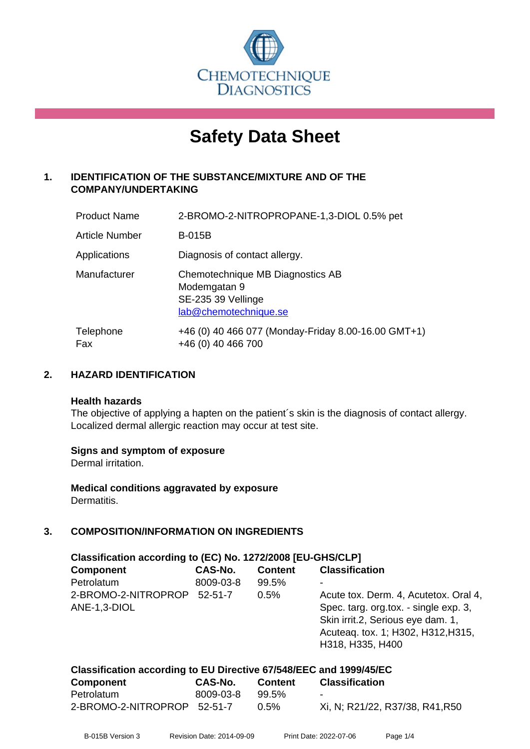

# **Safety Data Sheet**

## **1. IDENTIFICATION OF THE SUBSTANCE/MIXTURE AND OF THE COMPANY/UNDERTAKING**

| <b>Product Name</b>   | 2-BROMO-2-NITROPROPANE-1,3-DIOL 0.5% pet                                                        |
|-----------------------|-------------------------------------------------------------------------------------------------|
| <b>Article Number</b> | <b>B-015B</b>                                                                                   |
| Applications          | Diagnosis of contact allergy.                                                                   |
| Manufacturer          | Chemotechnique MB Diagnostics AB<br>Modemgatan 9<br>SE-235 39 Vellinge<br>lab@chemotechnique.se |
| Telephone<br>Fax      | +46 (0) 40 466 077 (Monday-Friday 8.00-16.00 GMT+1)<br>+46 (0) 40 466 700                       |

## **2. HAZARD IDENTIFICATION**

#### **Health hazards**

The objective of applying a hapten on the patient's skin is the diagnosis of contact allergy. Localized dermal allergic reaction may occur at test site.

## **Signs and symptom of exposure**

Dermal irritation.

**Medical conditions aggravated by exposure** Dermatitis.

## **3. COMPOSITION/INFORMATION ON INGREDIENTS**

| Classification according to (EC) No. 1272/2008 [EU-GHS/CLP] |  |                                                                                                                                                                               |  |  |  |
|-------------------------------------------------------------|--|-------------------------------------------------------------------------------------------------------------------------------------------------------------------------------|--|--|--|
| CAS-No.                                                     |  | <b>Classification</b>                                                                                                                                                         |  |  |  |
| 8009-03-8                                                   |  | -                                                                                                                                                                             |  |  |  |
| $52 - 51 - 7$                                               |  | Acute tox. Derm. 4, Acutetox. Oral 4,<br>Spec. targ. org.tox. - single exp. 3,<br>Skin irrit.2, Serious eye dam. 1,<br>Acuteaq. tox. 1; H302, H312, H315,<br>H318, H335, H400 |  |  |  |
|                                                             |  | <b>Content</b><br>99.5%<br>0.5%                                                                                                                                               |  |  |  |

| Classification according to EU Directive 67/548/EEC and 1999/45/EC |           |                |                                 |  |  |
|--------------------------------------------------------------------|-----------|----------------|---------------------------------|--|--|
| Component                                                          | CAS-No.   | <b>Content</b> | <b>Classification</b>           |  |  |
| Petrolatum                                                         | 8009-03-8 | 99.5%          | -                               |  |  |
| 2-BROMO-2-NITROPROP 52-51-7                                        |           | $0.5\%$        | Xi, N; R21/22, R37/38, R41, R50 |  |  |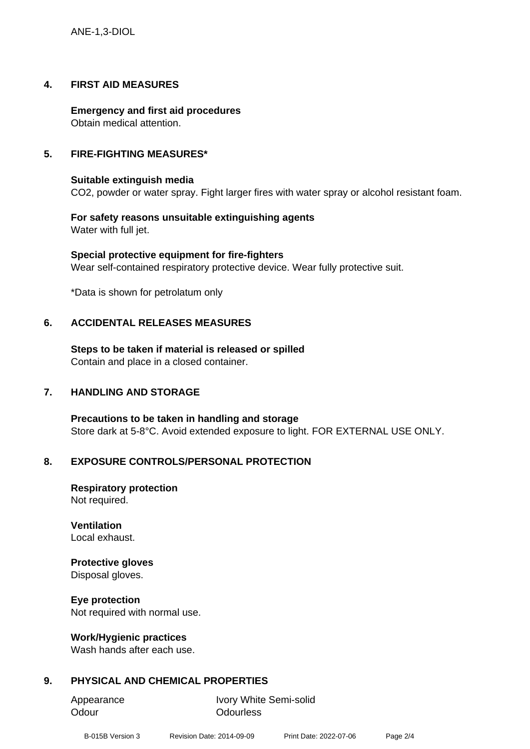ANE-1,3-DIOL

#### **4. FIRST AID MEASURES**

**Emergency and first aid procedures** Obtain medical attention.

#### **5. FIRE-FIGHTING MEASURES\***

#### **Suitable extinguish media**

CO2, powder or water spray. Fight larger fires with water spray or alcohol resistant foam.

**For safety reasons unsuitable extinguishing agents** Water with full jet.

**Special protective equipment for fire-fighters** Wear self-contained respiratory protective device. Wear fully protective suit.

\*Data is shown for petrolatum only

#### **6. ACCIDENTAL RELEASES MEASURES**

**Steps to be taken if material is released or spilled** Contain and place in a closed container.

#### **7. HANDLING AND STORAGE**

**Precautions to be taken in handling and storage** Store dark at 5-8°C. Avoid extended exposure to light. FOR EXTERNAL USE ONLY.

#### **8. EXPOSURE CONTROLS/PERSONAL PROTECTION**

**Respiratory protection** Not required.

**Ventilation** Local exhaust.

#### **Protective gloves**

Disposal gloves.

**Eye protection**

Not required with normal use.

#### **Work/Hygienic practices**

Wash hands after each use.

## **9. PHYSICAL AND CHEMICAL PROPERTIES**

Odour **Odourless** 

Appearance Ivory White Semi-solid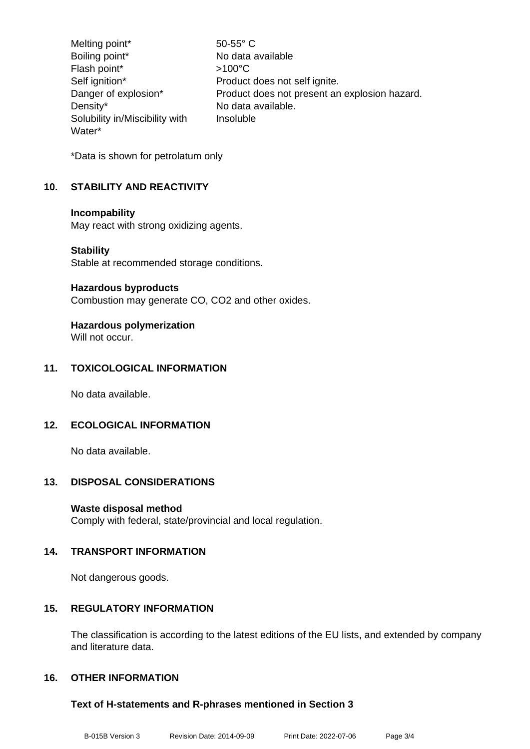Melting point\* 50-55° C Boiling point\* No data available Flash point\* >100°C Self ignition\* Product does not self ignite. Danger of explosion\* Product does not present an explosion hazard. Density\* No data available. Solubility in/Miscibility with Water\* Insoluble

\*Data is shown for petrolatum only

## **10. STABILITY AND REACTIVITY**

#### **Incompability**

May react with strong oxidizing agents.

#### **Stability**

Stable at recommended storage conditions.

#### **Hazardous byproducts**

Combustion may generate CO, CO2 and other oxides.

## **Hazardous polymerization**

Will not occur.

## **11. TOXICOLOGICAL INFORMATION**

No data available.

## **12. ECOLOGICAL INFORMATION**

No data available.

## **13. DISPOSAL CONSIDERATIONS**

## **Waste disposal method**

Comply with federal, state/provincial and local regulation.

## **14. TRANSPORT INFORMATION**

Not dangerous goods.

## **15. REGULATORY INFORMATION**

The classification is according to the latest editions of the EU lists, and extended by company and literature data.

## **16. OTHER INFORMATION**

## **Text of H-statements and R-phrases mentioned in Section 3**